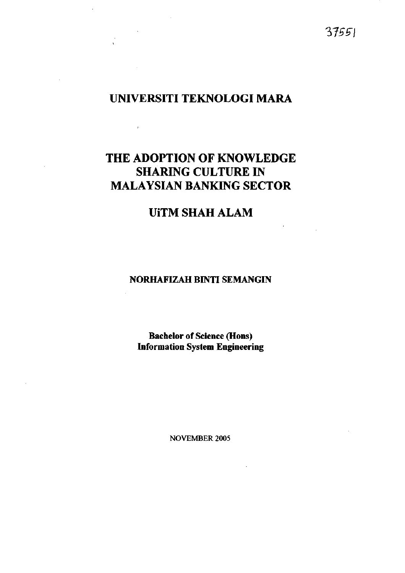# *VfS^l*

# **UNIVERSITI TEKNOLOGI MARA**

 $\mathcal{D}^{\mathrm{c}}$  and  $\mathcal{D}^{\mathrm{c}}$ 

# **THE ADOPTION OF KNOWLEDGE SHARING CULTURE IN MALAYSIAN BANKING SECTOR**

# **UiTM SHAH ALAM**

### **NORHAFIZAH BINTI SEMANGIN**

## **Bachelor of Science (Hons) Information System Engineering**

NOVEMBER 2005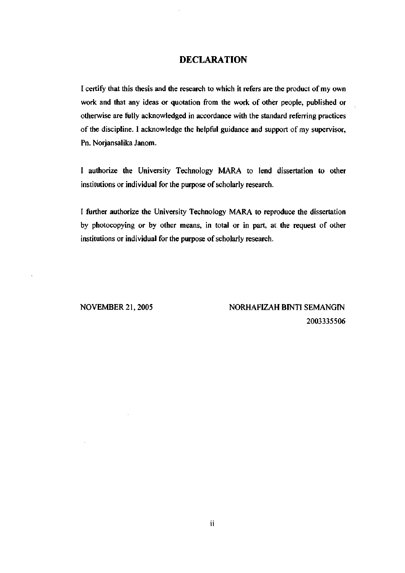#### **DECLARATION**

I certify that this thesis and the research to which it refers are the product of my own work and that any ideas or quotation from the work of other people, published or otherwise are fully acknowledged in accordance with the standard referring practices of the discipline. I acknowledge the helpful guidance and support of my supervisor, Pn. Norjansalika Janom.

I authorize the University Technology MARA to lend dissertation to other institutions or individual for the purpose of scholarly research.

I further authorize the University Technology MARA to reproduce the dissertation by photocopying or by other means, in total or in part, at the request of other institutions or individual for the purpose of scholarly research.

NOVEMBER 21,2005 NORHAFIZAH BINTI SEMANGIN 2003335506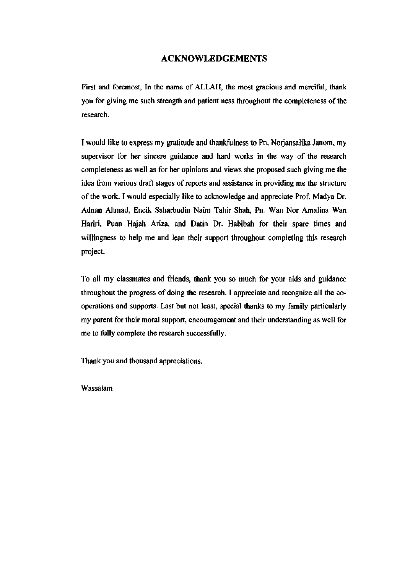#### ACKNOWLEDGEMENTS

First and foremost. In the name of ALLAH, the most gracious and merciful, thank you for giving me such strength and patient ness throughout the completeness of the research.

I would like to express my gratitude and thankfulness to Pn. Norjansalika Janom, my supervisor for her sincere guidance and hard works in the way of the research completeness as well as for her opinions and views she proposed such giving me the idea from various draft stages of reports and assistance in providing me the structure of the work. I would especially like to acknowledge and appreciate Prof. Madya Dr. Adnan Ahmad, Encik Saharbudin Naim Tahir Shah, Pn. Wan Nor Amalina Wan Hariri, Puan Hajah Ariza, and Datin Dr. Habibah for their spare times and willingness to help me and lean their support throughout completing this research project.

To all my classmates and friends, thank you so much for your aids and guidance throughout the progress of doing the research. I appreciate and recognize all the cooperations and supports. Last but not least, special thanks to my family particularly my parent for their moral support, encouragement and their understanding as well for me to fully complete the research successfully.

Thank you and thousand appreciations.

Wassalam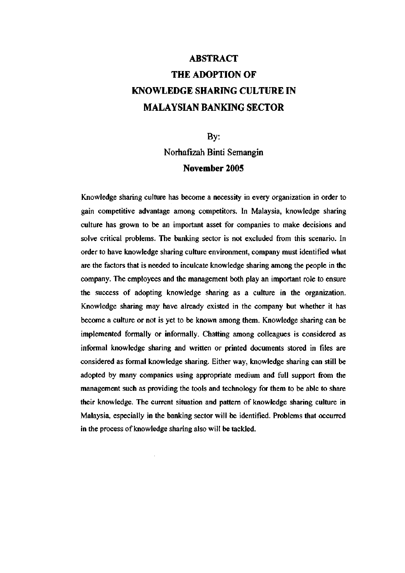# **ABSTRACT THE ADOPTION OF KNOWLEDGE SHARING CULTURE IN MALAYSIAN BANKING SECTOR**

By: Norhafizah Binti Semangin **November 2005** 

Knowledge sharing culture has become a necessity in every organization in order to gain competitive advantage among competitors. In Malaysia, knowledge sharing culture has grown to be an important asset for companies to make decisions and solve critical problems. The banking sector is not excluded from this scenario. In order to have knowledge sharing culture environment, company must identified what are the factors that is needed to inculcate knowledge sharing among the people in the company. The employees and the management both play an important role to ensure the success of adopting knowledge sharing as a culture in the organization. Knowledge sharing may have already existed in the company but whether it has become a culture or not is yet to be known among them. Knowledge sharing can be implemented formally or informally. Chatting among colleagues is considered as informal knowledge sharing and written or printed documents stored in files are considered as formal knowledge sharing. Either way, knowledge sharing can still be adopted by many companies using appropriate medium and full support from the management such as providing the tools and technology for them to be able to share their knowledge. The current situation and pattern of knowledge sharing culture in Malaysia, especially in the banking sector will be identified. Problems that occurred in the process of knowledge sharing also will be tackled.